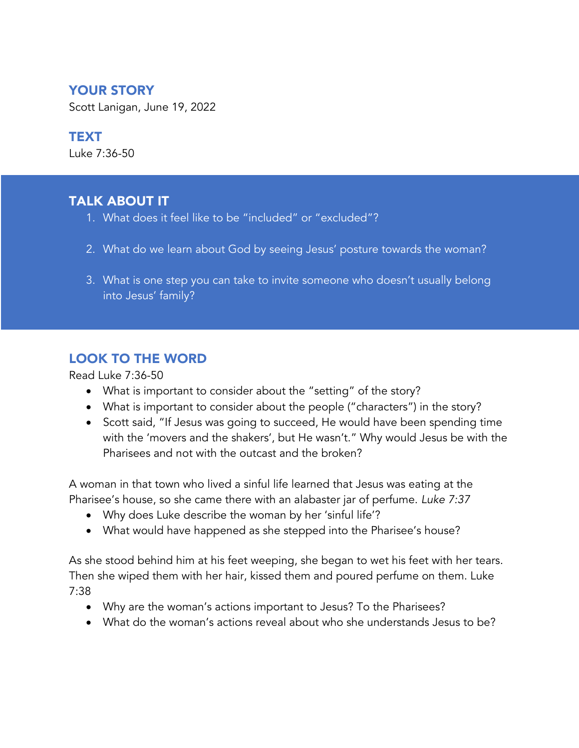# YOUR STORY

Scott Lanigan, June 19, 2022

### TEXT

Luke 7:36-50

# TALK ABOUT IT

- 1. What does it feel like to be "included" or "excluded"?
- 2. What do we learn about God by seeing Jesus' posture towards the woman?
- 3. What is one step you can take to invite someone who doesn't usually belong into Jesus' family?

## LOOK TO THE WORD

Read Luke 7:36-50

- What is important to consider about the "setting" of the story?
- What is important to consider about the people ("characters") in the story?
- Scott said, "If Jesus was going to succeed, He would have been spending time with the 'movers and the shakers', but He wasn't." Why would Jesus be with the Pharisees and not with the outcast and the broken?

A woman in that town who lived a sinful life learned that Jesus was eating at the Pharisee's house, so she came there with an alabaster jar of perfume. *Luke 7:37*

- Why does Luke describe the woman by her 'sinful life'?
- What would have happened as she stepped into the Pharisee's house?

As she stood behind him at his feet weeping, she began to wet his feet with her tears. Then she wiped them with her hair, kissed them and poured perfume on them. Luke 7:38

- Why are the woman's actions important to Jesus? To the Pharisees?
- What do the woman's actions reveal about who she understands Jesus to be?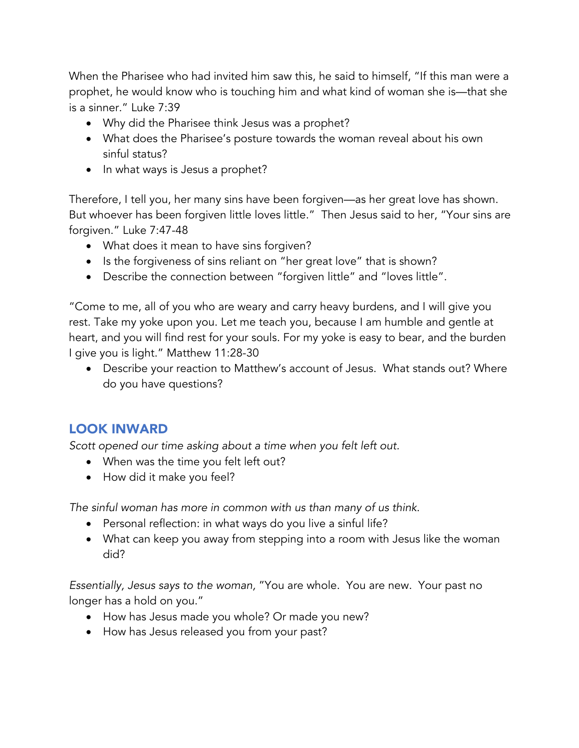When the Pharisee who had invited him saw this, he said to himself, "If this man were a prophet, he would know who is touching him and what kind of woman she is—that she is a sinner." Luke 7:39

- Why did the Pharisee think Jesus was a prophet?
- What does the Pharisee's posture towards the woman reveal about his own sinful status?
- In what ways is Jesus a prophet?

Therefore, I tell you, her many sins have been forgiven—as her great love has shown. But whoever has been forgiven little loves little." Then Jesus said to her, "Your sins are forgiven." Luke 7:47-48

- What does it mean to have sins forgiven?
- Is the forgiveness of sins reliant on "her great love" that is shown?
- Describe the connection between "forgiven little" and "loves little".

"Come to me, all of you who are weary and carry heavy burdens, and I will give you rest. Take my yoke upon you. Let me teach you, because I am humble and gentle at heart, and you will find rest for your souls. For my yoke is easy to bear, and the burden I give you is light." Matthew 11:28-30

• Describe your reaction to Matthew's account of Jesus. What stands out? Where do you have questions?

#### LOOK INWARD

*Scott opened our time asking about a time when you felt left out.*

- When was the time you felt left out?
- How did it make you feel?

*The sinful woman has more in common with us than many of us think*.

- Personal reflection: in what ways do you live a sinful life?
- What can keep you away from stepping into a room with Jesus like the woman did?

*Essentially, Jesus says to the woman,* "You are whole. You are new. Your past no longer has a hold on you."

- How has Jesus made you whole? Or made you new?
- How has Jesus released you from your past?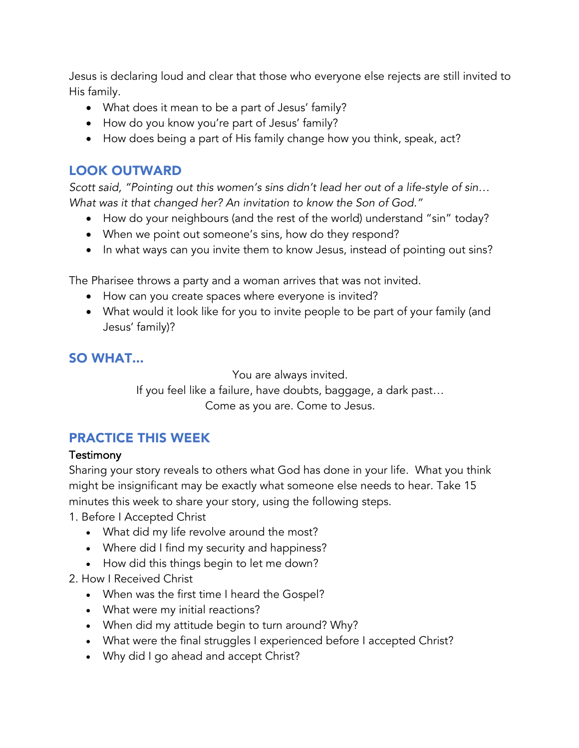Jesus is declaring loud and clear that those who everyone else rejects are still invited to His family.

- What does it mean to be a part of Jesus' family?
- How do you know you're part of Jesus' family?
- How does being a part of His family change how you think, speak, act?

## LOOK OUTWARD

*Scott said, "Pointing out this women's sins didn't lead her out of a life-style of sin… What was it that changed her? An invitation to know the Son of God."*

- How do your neighbours (and the rest of the world) understand "sin" today?
- When we point out someone's sins, how do they respond?
- In what ways can you invite them to know Jesus, instead of pointing out sins?

The Pharisee throws a party and a woman arrives that was not invited.

- How can you create spaces where everyone is invited?
- What would it look like for you to invite people to be part of your family (and Jesus' family)?

# SO WHAT...

You are always invited. If you feel like a failure, have doubts, baggage, a dark past… Come as you are. Come to Jesus.

# PRACTICE THIS WEEK

#### **Testimony**

Sharing your story reveals to others what God has done in your life. What you think might be insignificant may be exactly what someone else needs to hear. Take 15 minutes this week to share your story, using the following steps.

1. Before I Accepted Christ

- What did my life revolve around the most?
- Where did I find my security and happiness?
- How did this things begin to let me down?
- 2. How I Received Christ
	- When was the first time I heard the Gospel?
	- What were my initial reactions?
	- When did my attitude begin to turn around? Why?
	- What were the final struggles I experienced before I accepted Christ?
	- Why did I go ahead and accept Christ?